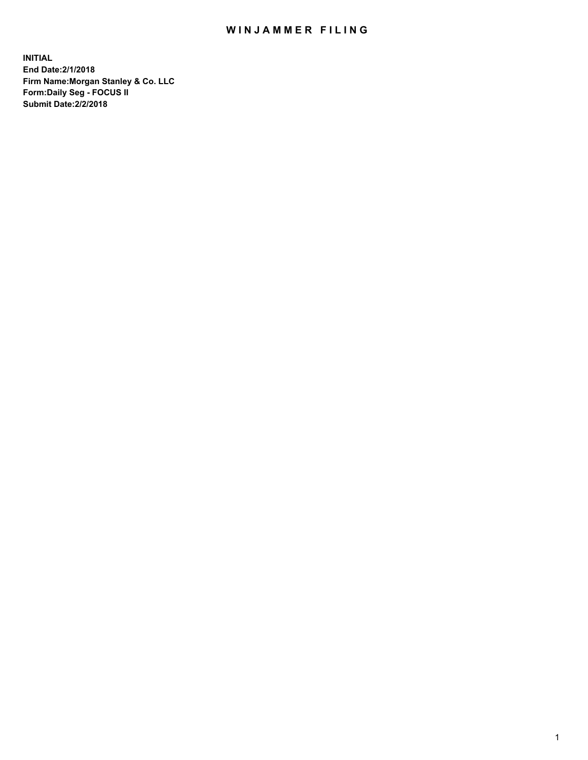## WIN JAMMER FILING

**INITIAL End Date:2/1/2018 Firm Name:Morgan Stanley & Co. LLC Form:Daily Seg - FOCUS II Submit Date:2/2/2018**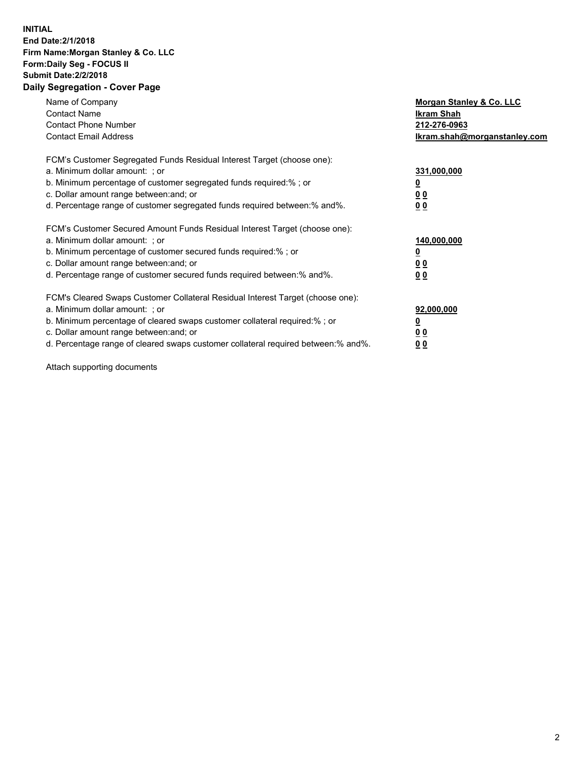## **INITIAL End Date:2/1/2018 Firm Name:Morgan Stanley & Co. LLC Form:Daily Seg - FOCUS II Submit Date:2/2/2018 Daily Segregation - Cover Page**

| Name of Company<br><b>Contact Name</b><br><b>Contact Phone Number</b><br><b>Contact Email Address</b>                                                                                                                                                                                                                          | Morgan Stanley & Co. LLC<br>Ikram Shah<br>212-276-0963<br>lkram.shah@morganstanley.com |
|--------------------------------------------------------------------------------------------------------------------------------------------------------------------------------------------------------------------------------------------------------------------------------------------------------------------------------|----------------------------------------------------------------------------------------|
| FCM's Customer Segregated Funds Residual Interest Target (choose one):<br>a. Minimum dollar amount: ; or<br>b. Minimum percentage of customer segregated funds required:%; or<br>c. Dollar amount range between: and; or<br>d. Percentage range of customer segregated funds required between: % and %.                        | 331,000,000<br>0 <sub>0</sub><br>00                                                    |
| FCM's Customer Secured Amount Funds Residual Interest Target (choose one):<br>a. Minimum dollar amount: ; or<br>b. Minimum percentage of customer secured funds required:%; or<br>c. Dollar amount range between: and; or<br>d. Percentage range of customer secured funds required between:% and%.                            | 140,000,000<br>0 <sub>0</sub><br>0 <sub>0</sub>                                        |
| FCM's Cleared Swaps Customer Collateral Residual Interest Target (choose one):<br>a. Minimum dollar amount: ; or<br>b. Minimum percentage of cleared swaps customer collateral required:% ; or<br>c. Dollar amount range between: and; or<br>d. Percentage range of cleared swaps customer collateral required between:% and%. | 92,000,000<br>0 <sub>0</sub><br>0 <sub>0</sub>                                         |

Attach supporting documents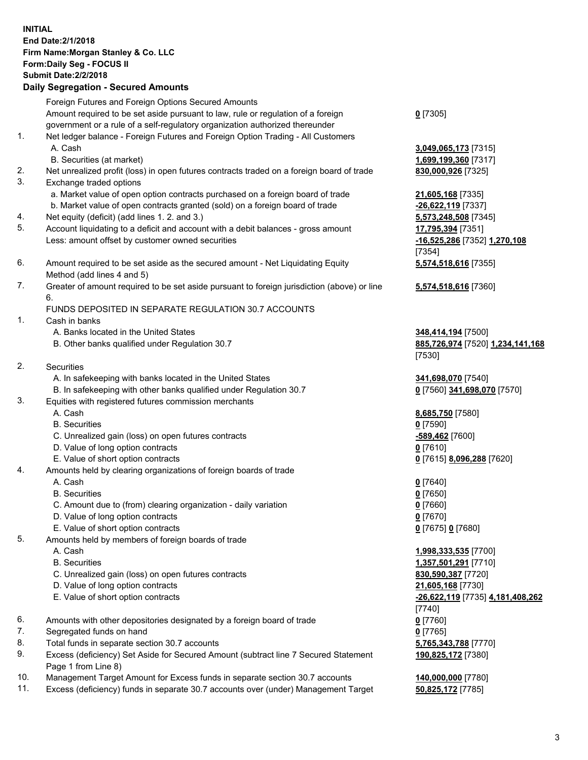## **INITIAL End Date:2/1/2018 Firm Name:Morgan Stanley & Co. LLC Form:Daily Seg - FOCUS II Submit Date:2/2/2018 Daily Segregation - Secured Amounts**

Foreign Futures and Foreign Options Secured Amounts Amount required to be set aside pursuant to law, rule or regulation of a foreign government or a rule of a self-regulatory organization authorized thereunder 1. Net ledger balance - Foreign Futures and Foreign Option Trading - All Customers A. Cash **3,049,065,173** [7315] B. Securities (at market) **1,699,199,360** [7317] 2. Net unrealized profit (loss) in open futures contracts traded on a foreign board of trade **830,000,926** [7325] 3. Exchange traded options a. Market value of open option contracts purchased on a foreign board of trade **21,605,168** [7335] b. Market value of open contracts granted (sold) on a foreign board of trade **-26,622,119** [7337] 4. Net equity (deficit) (add lines 1. 2. and 3.) **5,573,248,508** [7345] 5. Account liquidating to a deficit and account with a debit balances - gross amount **17,795,394** [7351] Less: amount offset by customer owned securities **-16,525,286** [7352] **1,270,108**

- 6. Amount required to be set aside as the secured amount Net Liquidating Equity Method (add lines 4 and 5)
- 7. Greater of amount required to be set aside pursuant to foreign jurisdiction (above) or line 6.

## FUNDS DEPOSITED IN SEPARATE REGULATION 30.7 ACCOUNTS

- 1. Cash in banks
	- A. Banks located in the United States **348,414,194** [7500]
	- B. Other banks qualified under Regulation 30.7 **885,726,974** [7520] **1,234,141,168**
- 2. Securities
	- A. In safekeeping with banks located in the United States **341,698,070** [7540]
	- B. In safekeeping with other banks qualified under Regulation 30.7 **0** [7560] **341,698,070** [7570]
- 3. Equities with registered futures commission merchants
	-
	-
	- C. Unrealized gain (loss) on open futures contracts **-589,462** [7600]
	- D. Value of long option contracts **0** [7610]
	- E. Value of short option contracts **0** [7615] **8,096,288** [7620]
- 4. Amounts held by clearing organizations of foreign boards of trade
	-
	-
	- C. Amount due to (from) clearing organization daily variation **0** [7660]
	- D. Value of long option contracts **0** [7670]
	- E. Value of short option contracts **0** [7675] **0** [7680]
- 5. Amounts held by members of foreign boards of trade
	-
	-
	- C. Unrealized gain (loss) on open futures contracts **830,590,387** [7720]
	- D. Value of long option contracts **21,605,168** [7730]
	- E. Value of short option contracts **-26,622,119** [7735] **4,181,408,262**
- 6. Amounts with other depositories designated by a foreign board of trade **0** [7760]
- 7. Segregated funds on hand **0** [7765]
- 8. Total funds in separate section 30.7 accounts **5,765,343,788** [7770]
- 9. Excess (deficiency) Set Aside for Secured Amount (subtract line 7 Secured Statement Page 1 from Line 8)
- 10. Management Target Amount for Excess funds in separate section 30.7 accounts **140,000,000** [7780]
- 11. Excess (deficiency) funds in separate 30.7 accounts over (under) Management Target **50,825,172** [7785]

**0** [7305]

[7354] **5,574,518,616** [7355]

**5,574,518,616** [7360]

[7530]

 A. Cash **8,685,750** [7580] B. Securities **0** [7590]

 A. Cash **0** [7640] B. Securities **0** [7650]

 A. Cash **1,998,333,535** [7700] B. Securities **1,357,501,291** [7710] [7740] **190,825,172** [7380]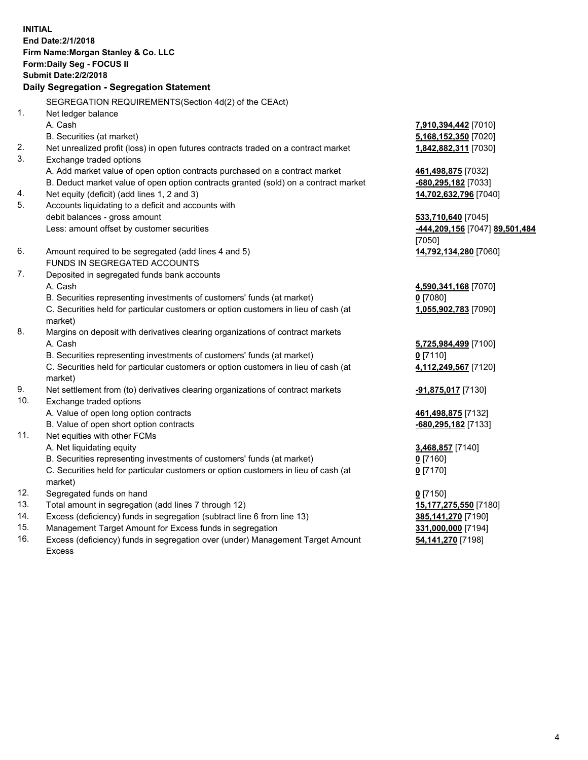**INITIAL End Date:2/1/2018 Firm Name:Morgan Stanley & Co. LLC Form:Daily Seg - FOCUS II Submit Date:2/2/2018 Daily Segregation - Segregation Statement** SEGREGATION REQUIREMENTS(Section 4d(2) of the CEAct) 1. Net ledger balance A. Cash **7,910,394,442** [7010] B. Securities (at market) **5,168,152,350** [7020] 2. Net unrealized profit (loss) in open futures contracts traded on a contract market **1,842,882,311** [7030] 3. Exchange traded options A. Add market value of open option contracts purchased on a contract market **461,498,875** [7032] B. Deduct market value of open option contracts granted (sold) on a contract market **-680,295,182** [7033] 4. Net equity (deficit) (add lines 1, 2 and 3) **14,702,632,796** [7040] 5. Accounts liquidating to a deficit and accounts with debit balances - gross amount **533,710,640** [7045] Less: amount offset by customer securities **-444,209,156** [7047] **89,501,484** [7050] 6. Amount required to be segregated (add lines 4 and 5) **14,792,134,280** [7060] FUNDS IN SEGREGATED ACCOUNTS 7. Deposited in segregated funds bank accounts A. Cash **4,590,341,168** [7070] B. Securities representing investments of customers' funds (at market) **0** [7080] C. Securities held for particular customers or option customers in lieu of cash (at market) **1,055,902,783** [7090] 8. Margins on deposit with derivatives clearing organizations of contract markets A. Cash **5,725,984,499** [7100] B. Securities representing investments of customers' funds (at market) **0** [7110] C. Securities held for particular customers or option customers in lieu of cash (at market) **4,112,249,567** [7120] 9. Net settlement from (to) derivatives clearing organizations of contract markets **-91,875,017** [7130] 10. Exchange traded options A. Value of open long option contracts **461,498,875** [7132] B. Value of open short option contracts **-680,295,182** [7133] 11. Net equities with other FCMs A. Net liquidating equity **3,468,857** [7140] B. Securities representing investments of customers' funds (at market) **0** [7160] C. Securities held for particular customers or option customers in lieu of cash (at market) **0** [7170] 12. Segregated funds on hand **0** [7150] 13. Total amount in segregation (add lines 7 through 12) **15,177,275,550** [7180] 14. Excess (deficiency) funds in segregation (subtract line 6 from line 13) **385,141,270** [7190] 15. Management Target Amount for Excess funds in segregation **331,000,000** [7194] **54,141,270** [7198]

16. Excess (deficiency) funds in segregation over (under) Management Target Amount Excess